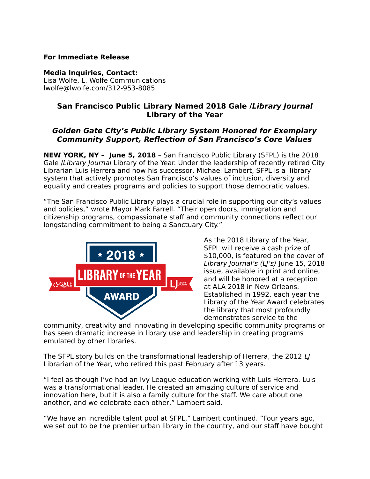### **For Immediate Release**

#### **Media Inquiries, Contact:**

Lisa Wolfe, L. Wolfe Communications lwolfe@lwolfe.com/312-953-8085

# **San Francisco Public Library Named 2018 Gale /Library Journal Library of the Year**

# **Golden Gate City's Public Library System Honored for Exemplary Community Support, Reflection of San Francisco's Core Values**

**NEW YORK, NY – June 5, 2018** – San Francisco Public Library (SFPL) is the 2018 Gale */Library Journal Library of the Year. Under the leadership of recently retired City* Librarian Luis Herrera and now his successor, Michael Lambert, SFPL is a library system that actively promotes San Francisco's values of inclusion, diversity and equality and creates programs and policies to support those democratic values.

"The San Francisco Public Library plays a crucial role in supporting our city's values and policies," wrote Mayor Mark Farrell. "Their open doors, immigration and citizenship programs, compassionate staff and community connections reflect our longstanding commitment to being a Sanctuary City."



As the 2018 Library of the Year, SFPL will receive a cash prize of \$10,000, is featured on the cover of Library Journal's (LI's) June 15, 2018 issue, available in print and online, and will be honored at a reception at ALA 2018 in New Orleans. Established in 1992, each year the Library of the Year Award celebrates the library that most profoundly demonstrates service to the

community, creativity and innovating in developing specific community programs or has seen dramatic increase in library use and leadership in creating programs emulated by other libraries.

The SFPL story builds on the transformational leadership of Herrera, the 2012 LJ Librarian of the Year, who retired this past February after 13 years.

"I feel as though I've had an Ivy League education working with Luis Herrera. Luis was a transformational leader. He created an amazing culture of service and innovation here, but it is also a family culture for the staff. We care about one another, and we celebrate each other," Lambert said.

"We have an incredible talent pool at SFPL," Lambert continued. "Four years ago, we set out to be the premier urban library in the country, and our staff have bought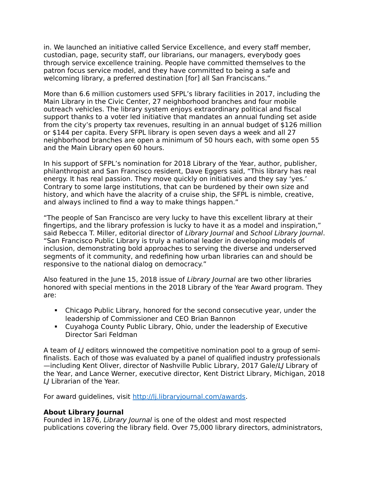in. We launched an initiative called Service Excellence, and every staff member, custodian, page, security staff, our librarians, our managers, everybody goes through service excellence training. People have committed themselves to the patron focus service model, and they have committed to being a safe and welcoming library, a preferred destination [for] all San Franciscans."

More than 6.6 million customers used SFPL's library facilities in 2017, including the Main Library in the Civic Center, 27 neighborhood branches and four mobile outreach vehicles. The library system enjoys extraordinary political and fiscal support thanks to a voter led initiative that mandates an annual funding set aside from the city's property tax revenues, resulting in an annual budget of \$126 million or \$144 per capita. Every SFPL library is open seven days a week and all 27 neighborhood branches are open a minimum of 50 hours each, with some open 55 and the Main Library open 60 hours.

In his support of SFPL's nomination for 2018 Library of the Year, author, publisher, philanthropist and San Francisco resident, Dave Eggers said, "This library has real energy. It has real passion. They move quickly on initiatives and they say 'yes.' Contrary to some large institutions, that can be burdened by their own size and history, and which have the alacrity of a cruise ship, the SFPL is nimble, creative, and always inclined to find a way to make things happen."

"The people of San Francisco are very lucky to have this excellent library at their fingertips, and the library profession is lucky to have it as a model and inspiration," said Rebecca T. Miller, editorial director of Library Journal and School Library Journal. "San Francisco Public Library is truly a national leader in developing models of inclusion, demonstrating bold approaches to serving the diverse and underserved segments of it community, and redefining how urban libraries can and should be responsive to the national dialog on democracy."

Also featured in the June 15, 2018 issue of Library Journal are two other libraries honored with special mentions in the 2018 Library of the Year Award program. They are:

- Chicago Public Library, honored for the second consecutive year, under the leadership of Commissioner and CEO Brian Bannon
- Cuyahoga County Public Library, Ohio, under the leadership of Executive Director Sari Feldman

A team of LJ editors winnowed the competitive nomination pool to a group of semifinalists. Each of those was evaluated by a panel of qualified industry professionals —including Kent Oliver, director of Nashville Public Library, 2017 Gale/LJ Library of the Year, and Lance Werner, executive director, Kent District Library, Michigan, 2018 LJ Librarian of the Year.

For award guidelines, visit [http://lj.libraryjournal.com/awards.](http://lj.libraryjournal.com/awards)

## **About Library Journal**

Founded in 1876, Library Journal is one of the oldest and most respected publications covering the library field. Over 75,000 library directors, administrators,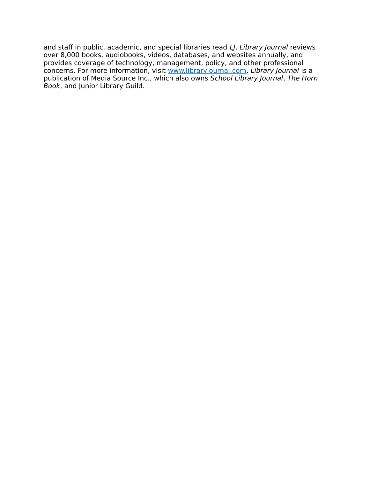and staff in public, academic, and special libraries read LJ. Library Journal reviews over 8,000 books, audiobooks, videos, databases, and websites annually, and provides coverage of technology, management, policy, and other professional concerns. For more information, visit [www.libraryjournal.com.](file:///C:%5CUsers%5Cjgoldstein%5CAppData%5CLocal%5CMicrosoft%5CWindows%5CINetCache%5CContent.Outlook%5COH5SMQC2%5Cwww.libraryjournal.com) Library Journal is a publication of Media Source Inc., which also owns School Library Journal, The Horn Book, and Junior Library Guild.